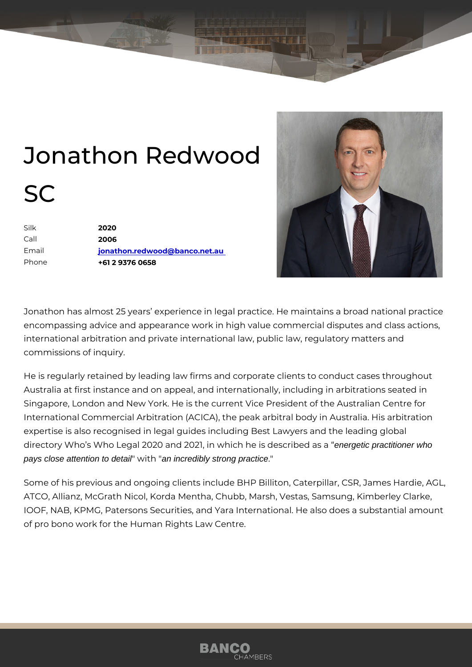## Jonathon Redwood SC

| Silk    | 2020                          |
|---------|-------------------------------|
| $C$ all | 2006                          |
| Email   | jonathon.redwood@banco.net.au |
| Phone   | +61 2 9376 0658               |

Jonathon has almost 25 years experience in legal practice. He maintains encompassing advice and appearance work in high value commercial disp international arbitration and private international law, public law, regula commissions of inquiry.

He is regularly retained by leading law firms and corporate clients to cor Australia at first instance and on appeal, and internationally, including i Singapore, London and New York. He is the current Vice President of the International Commercial Arbitration (ACICA), the peak arbitral body in A expertise is also recognised in legal guides including Best Lawyers and t directory Who s Who Legal 2020 and 2021, in whichendergeetic spradentisconer in briend as a pays close attention to detail " w i t an incredibly strong practice."

Some of his previous and ongoing clients include BHP Billiton, CaA&pilla ATCO, Allianz, McGrath Nicol, Korda Mentha, Chubb, Marsh, Vestas, Sam IOOF, NAB, KPMG, Patersons Securities, and Yara International. He also of pro bono work for the Human Rights Law Centre.